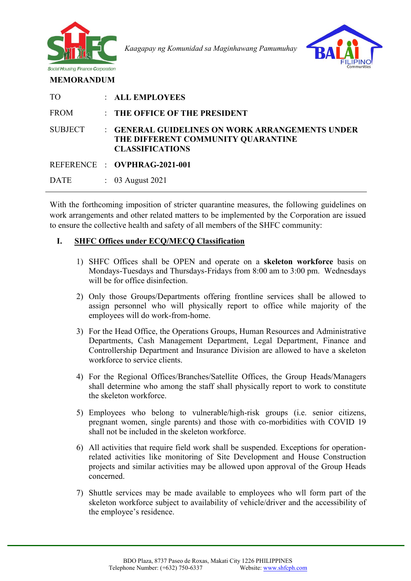

 *Kaagapay ng Komunidad sa Maginhawang Pamumuhay*



| <b>TO</b>      | : ALL EMPLOYEES                                                                                                 |
|----------------|-----------------------------------------------------------------------------------------------------------------|
| <b>FROM</b>    | THE OFFICE OF THE PRESIDENT                                                                                     |
| <b>SUBJECT</b> | : GENERAL GUIDELINES ON WORK ARRANGEMENTS UNDER<br>THE DIFFERENT COMMUNITY QUARANTINE<br><b>CLASSIFICATIONS</b> |
|                | REFERENCE : OVPHRAG-2021-001                                                                                    |
| <b>DATE</b>    | $\therefore$ 03 August 2021                                                                                     |

With the forthcoming imposition of stricter quarantine measures, the following guidelines on work arrangements and other related matters to be implemented by the Corporation are issued to ensure the collective health and safety of all members of the SHFC community:

## **I. SHFC Offices under ECQ/MECQ Classification**

- 1) SHFC Offices shall be OPEN and operate on a **skeleton workforce** basis on Mondays-Tuesdays and Thursdays-Fridays from 8:00 am to 3:00 pm. Wednesdays will be for office disinfection.
- 2) Only those Groups/Departments offering frontline services shall be allowed to assign personnel who will physically report to office while majority of the employees will do work-from-home.
- 3) For the Head Office, the Operations Groups, Human Resources and Administrative Departments, Cash Management Department, Legal Department, Finance and Controllership Department and Insurance Division are allowed to have a skeleton workforce to service clients.
- 4) For the Regional Offices/Branches/Satellite Offices, the Group Heads/Managers shall determine who among the staff shall physically report to work to constitute the skeleton workforce.
- 5) Employees who belong to vulnerable/high-risk groups (i.e. senior citizens, pregnant women, single parents) and those with co-morbidities with COVID 19 shall not be included in the skeleton workforce.
- 6) All activities that require field work shall be suspended. Exceptions for operationrelated activities like monitoring of Site Development and House Construction projects and similar activities may be allowed upon approval of the Group Heads concerned.
- 7) Shuttle services may be made available to employees who wll form part of the skeleton workforce subject to availability of vehicle/driver and the accessibility of the employee's residence.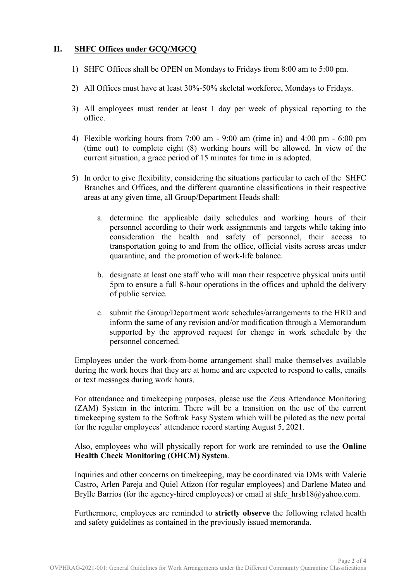## **II. SHFC Offices under GCQ/MGCQ**

- 1) SHFC Offices shall be OPEN on Mondays to Fridays from 8:00 am to 5:00 pm.
- 2) All Offices must have at least 30%-50% skeletal workforce, Mondays to Fridays.
- 3) All employees must render at least 1 day per week of physical reporting to the office.
- 4) Flexible working hours from 7:00 am 9:00 am (time in) and 4:00 pm 6:00 pm (time out) to complete eight (8) working hours will be allowed. In view of the current situation, a grace period of 15 minutes for time in is adopted.
- 5) In order to give flexibility, considering the situations particular to each of the SHFC Branches and Offices, and the different quarantine classifications in their respective areas at any given time, all Group/Department Heads shall:
	- a. determine the applicable daily schedules and working hours of their personnel according to their work assignments and targets while taking into consideration the health and safety of personnel, their access to transportation going to and from the office, official visits across areas under quarantine, and the promotion of work-life balance.
	- b. designate at least one staff who will man their respective physical units until 5pm to ensure a full 8-hour operations in the offices and uphold the delivery of public service.
	- c. submit the Group/Department work schedules/arrangements to the HRD and inform the same of any revision and/or modification through a Memorandum supported by the approved request for change in work schedule by the personnel concerned.

Employees under the work-from-home arrangement shall make themselves available during the work hours that they are at home and are expected to respond to calls, emails or text messages during work hours.

For attendance and timekeeping purposes, please use the Zeus Attendance Monitoring (ZAM) System in the interim. There will be a transition on the use of the current timekeeping system to the Softrak Easy System which will be piloted as the new portal for the regular employees' attendance record starting August 5, 2021.

Also, employees who will physically report for work are reminded to use the **Online Health Check Monitoring (OHCM) System**.

Inquiries and other concerns on timekeeping, may be coordinated via DMs with Valerie Castro, Arlen Pareja and Quiel Atizon (for regular employees) and Darlene Mateo and Brylle Barrios (for the agency-hired employees) or email at shfc  $hrsb18@yahoo.com$ .

Furthermore, employees are reminded to **strictly observe** the following related health and safety guidelines as contained in the previously issued memoranda.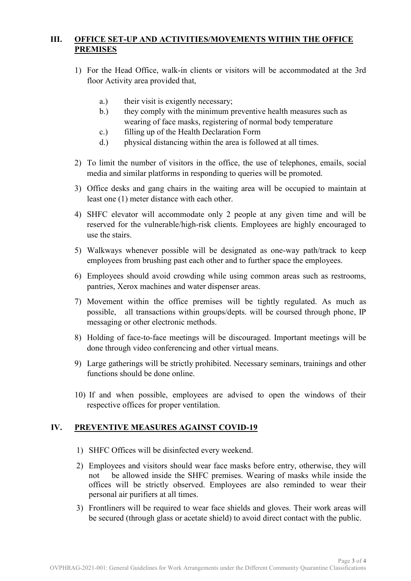## **III. OFFICE SET-UP AND ACTIVITIES/MOVEMENTS WITHIN THE OFFICE PREMISES**

- 1) For the Head Office, walk-in clients or visitors will be accommodated at the 3rd floor Activity area provided that,
	- a.) their visit is exigently necessary;
	- b.) they comply with the minimum preventive health measures such as wearing of face masks, registering of normal body temperature
	- c.) filling up of the Health Declaration Form
	- d.) physical distancing within the area is followed at all times.
- 2) To limit the number of visitors in the office, the use of telephones, emails, social media and similar platforms in responding to queries will be promoted.
- 3) Office desks and gang chairs in the waiting area will be occupied to maintain at least one (1) meter distance with each other.
- 4) SHFC elevator will accommodate only 2 people at any given time and will be reserved for the vulnerable/high-risk clients. Employees are highly encouraged to use the stairs.
- 5) Walkways whenever possible will be designated as one-way path/track to keep employees from brushing past each other and to further space the employees.
- 6) Employees should avoid crowding while using common areas such as restrooms, pantries, Xerox machines and water dispenser areas.
- 7) Movement within the office premises will be tightly regulated. As much as possible, all transactions within groups/depts. will be coursed through phone, IP messaging or other electronic methods.
- 8) Holding of face-to-face meetings will be discouraged. Important meetings will be done through video conferencing and other virtual means.
- 9) Large gatherings will be strictly prohibited. Necessary seminars, trainings and other functions should be done online.
- 10) If and when possible, employees are advised to open the windows of their respective offices for proper ventilation.

## **IV. PREVENTIVE MEASURES AGAINST COVID-19**

- 1) SHFC Offices will be disinfected every weekend.
- 2) Employees and visitors should wear face masks before entry, otherwise, they will not be allowed inside the SHFC premises. Wearing of masks while inside the offices will be strictly observed. Employees are also reminded to wear their personal air purifiers at all times.
- 3) Frontliners will be required to wear face shields and gloves. Their work areas will be secured (through glass or acetate shield) to avoid direct contact with the public.